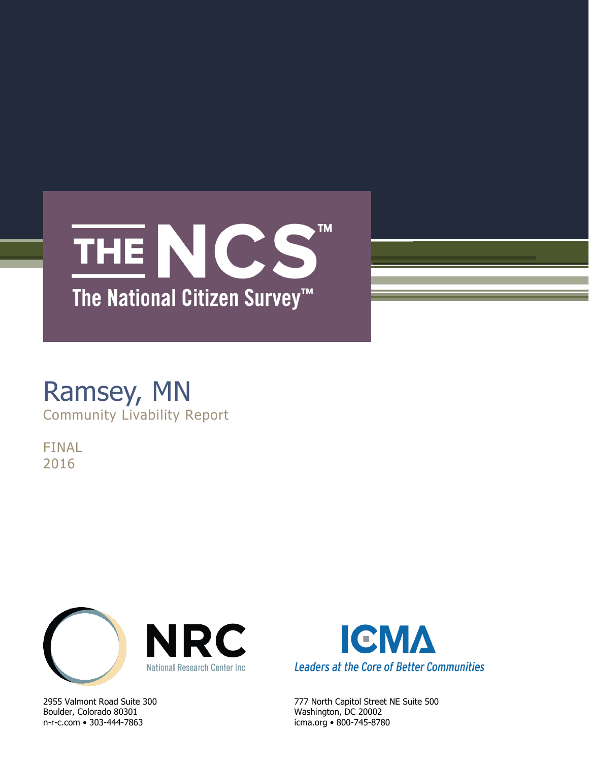

# Ramsey, MN Community Livability Report

FINAL 2016



Boulder, Colorado 80301 Washington, DC 20002 n-r-c.com • 303-444-7863 icma.org • 800-745-8780



2955 Valmont Road Suite 300 777 North Capitol Street NE Suite 500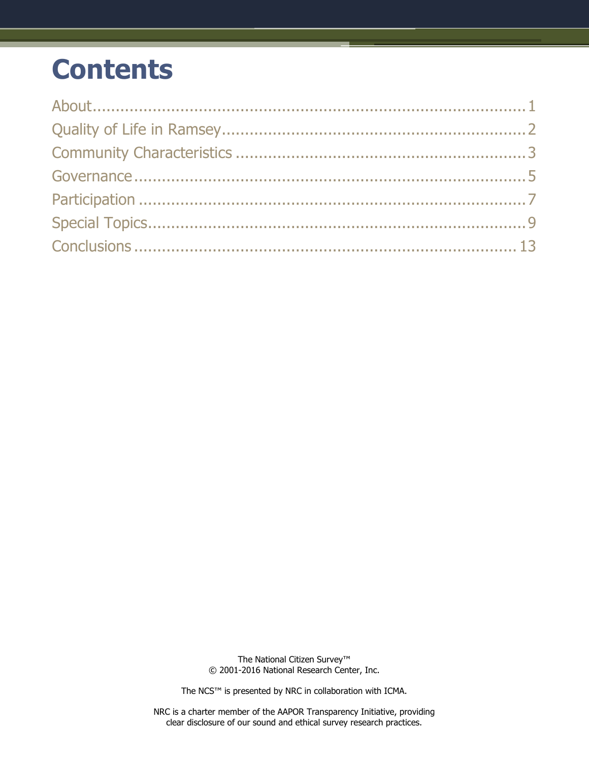# **Contents**

The National Citizen Survey™ © 2001-2016 National Research Center, Inc.

The NCS™ is presented by NRC in collaboration with ICMA.

NRC is a charter member of the AAPOR Transparency Initiative, providing clear disclosure of our sound and ethical survey research practices.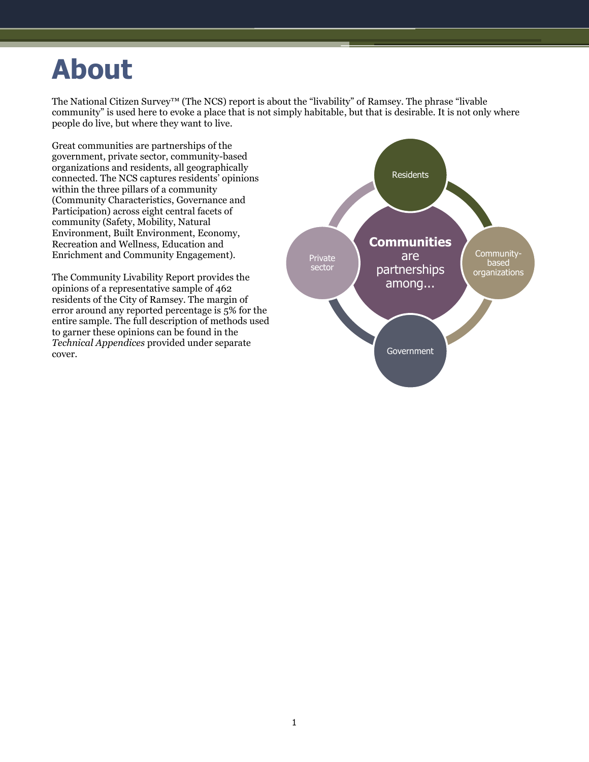# <span id="page-2-0"></span>**About**

The National Citizen Survey™ (The NCS) report is about the "livability" of Ramsey. The phrase "livable community" is used here to evoke a place that is not simply habitable, but that is desirable. It is not only where people do live, but where they want to live.

Great communities are partnerships of the government, private sector, community-based organizations and residents, all geographically connected. The NCS captures residents' opinions within the three pillars of a community (Community Characteristics, Governance and Participation) across eight central facets of community (Safety, Mobility, Natural Environment, Built Environment, Economy, Recreation and Wellness, Education and Enrichment and Community Engagement).

The Community Livability Report provides the opinions of a representative sample of 462 residents of the City of Ramsey. The margin of error around any reported percentage is 5% for the entire sample. The full description of methods used to garner these opinions can be found in the *Technical Appendices* provided under separate cover.

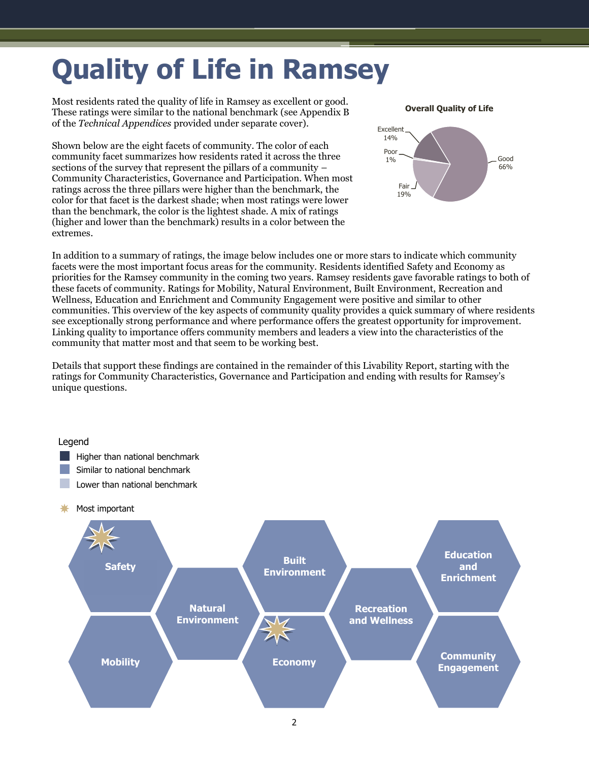# <span id="page-3-0"></span>**Quality of Life in Ramsey**

Most residents rated the quality of life in Ramsey as excellent or good. These ratings were similar to the national benchmark (see Appendix B of the *Technical Appendices* provided under separate cover).

Shown below are the eight facets of community. The color of each community facet summarizes how residents rated it across the three sections of the survey that represent the pillars of a community – Community Characteristics, Governance and Participation. When most ratings across the three pillars were higher than the benchmark, the color for that facet is the darkest shade; when most ratings were lower than the benchmark, the color is the lightest shade. A mix of ratings (higher and lower than the benchmark) results in a color between the extremes.





In addition to a summary of ratings, the image below includes one or more stars to indicate which community facets were the most important focus areas for the community. Residents identified Safety and Economy as priorities for the Ramsey community in the coming two years. Ramsey residents gave favorable ratings to both of these facets of community. Ratings for Mobility, Natural Environment, Built Environment, Recreation and Wellness, Education and Enrichment and Community Engagement were positive and similar to other communities. This overview of the key aspects of community quality provides a quick summary of where residents see exceptionally strong performance and where performance offers the greatest opportunity for improvement. Linking quality to importance offers community members and leaders a view into the characteristics of the community that matter most and that seem to be working best.

Details that support these findings are contained in the remainder of this Livability Report, starting with the ratings for Community Characteristics, Governance and Participation and ending with results for Ramsey's unique questions.

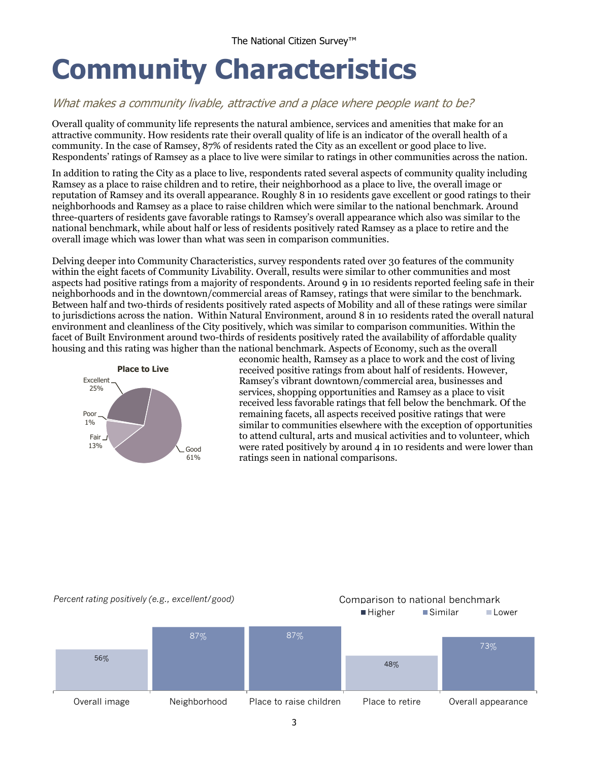# <span id="page-4-0"></span>**Community Characteristics**

## What makes a community livable, attractive and a place where people want to be?

Overall quality of community life represents the natural ambience, services and amenities that make for an attractive community. How residents rate their overall quality of life is an indicator of the overall health of a community. In the case of Ramsey, 87% of residents rated the City as an excellent or good place to live. Respondents' ratings of Ramsey as a place to live were similar to ratings in other communities across the nation.

In addition to rating the City as a place to live, respondents rated several aspects of community quality including Ramsey as a place to raise children and to retire, their neighborhood as a place to live, the overall image or reputation of Ramsey and its overall appearance. Roughly 8 in 10 residents gave excellent or good ratings to their neighborhoods and Ramsey as a place to raise children which were similar to the national benchmark. Around three-quarters of residents gave favorable ratings to Ramsey's overall appearance which also was similar to the national benchmark, while about half or less of residents positively rated Ramsey as a place to retire and the overall image which was lower than what was seen in comparison communities.

Delving deeper into Community Characteristics, survey respondents rated over 30 features of the community within the eight facets of Community Livability. Overall, results were similar to other communities and most aspects had positive ratings from a majority of respondents. Around 9 in 10 residents reported feeling safe in their neighborhoods and in the downtown/commercial areas of Ramsey, ratings that were similar to the benchmark. Between half and two-thirds of residents positively rated aspects of Mobility and all of these ratings were similar to jurisdictions across the nation. Within Natural Environment, around 8 in 10 residents rated the overall natural environment and cleanliness of the City positively, which was similar to comparison communities. Within the facet of Built Environment around two-thirds of residents positively rated the availability of affordable quality housing and this rating was higher than the national benchmark. Aspects of Economy, such as the overall



economic health, Ramsey as a place to work and the cost of living received positive ratings from about half of residents. However, Ramsey's vibrant downtown/commercial area, businesses and services, shopping opportunities and Ramsey as a place to visit received less favorable ratings that fell below the benchmark. Of the remaining facets, all aspects received positive ratings that were similar to communities elsewhere with the exception of opportunities to attend cultural, arts and musical activities and to volunteer, which were rated positively by around 4 in 10 residents and were lower than ratings seen in national comparisons.

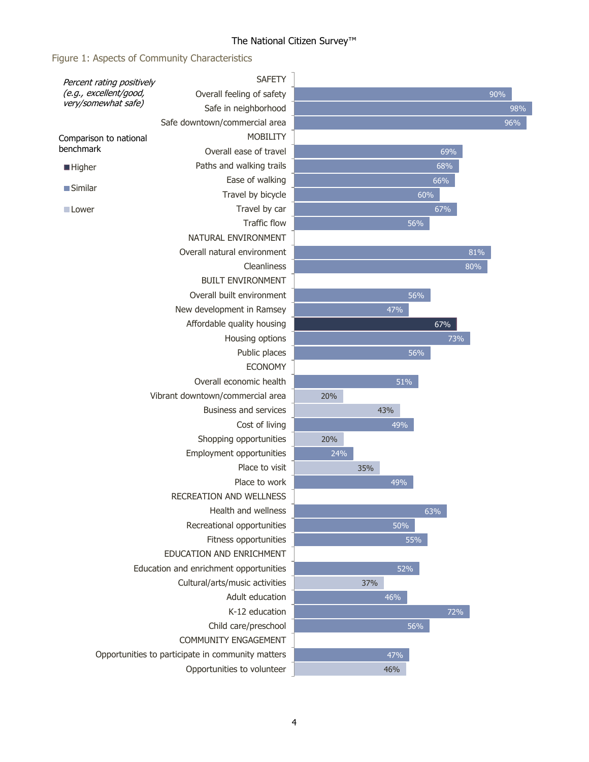# The National Citizen Survey™

# Figure 1: Aspects of Community Characteristics

| Percent rating positively                                                                            | <b>SAFETY</b>                                     |                  |     |     |        |     |
|------------------------------------------------------------------------------------------------------|---------------------------------------------------|------------------|-----|-----|--------|-----|
| (e.g., excellent/good,<br>very/somewhat safe)                                                        | Overall feeling of safety                         |                  |     |     |        | 90% |
|                                                                                                      | Safe in neighborhood                              |                  |     |     |        | 98% |
|                                                                                                      | Safe downtown/commercial area                     |                  |     |     |        | 96% |
| Comparison to national                                                                               | <b>MOBILITY</b>                                   |                  |     |     |        |     |
| benchmark                                                                                            | Overall ease of travel                            |                  |     |     | 69%    |     |
| <b>Higher</b>                                                                                        | Paths and walking trails                          |                  |     |     | 68%    |     |
|                                                                                                      | Ease of walking                                   |                  |     |     | 66%    |     |
| <b>Similar</b>                                                                                       | Travel by bicycle                                 |                  |     |     | 60%    |     |
| Lower                                                                                                | Travel by car                                     |                  |     |     | 67%    |     |
|                                                                                                      | <b>Traffic flow</b>                               |                  |     | 56% |        |     |
|                                                                                                      | NATURAL ENVIRONMENT                               |                  |     |     |        |     |
|                                                                                                      | Overall natural environment                       |                  |     |     | 81%    |     |
|                                                                                                      | Cleanliness                                       |                  |     |     | $80\%$ |     |
|                                                                                                      | <b>BUILT ENVIRONMENT</b>                          |                  |     |     |        |     |
|                                                                                                      | Overall built environment                         |                  |     | 56% |        |     |
|                                                                                                      | New development in Ramsey                         |                  |     | 47% |        |     |
|                                                                                                      | Affordable quality housing                        |                  |     |     | 67%    |     |
|                                                                                                      | Housing options                                   |                  |     |     | 73%    |     |
|                                                                                                      | Public places                                     |                  |     | 56% |        |     |
|                                                                                                      | <b>ECONOMY</b>                                    |                  |     |     |        |     |
|                                                                                                      | Overall economic health                           |                  |     | 51% |        |     |
|                                                                                                      | Vibrant downtown/commercial area                  | 20%              |     |     |        |     |
|                                                                                                      | Business and services                             |                  |     | 43% |        |     |
|                                                                                                      | Cost of living                                    |                  |     | 49% |        |     |
|                                                                                                      | Shopping opportunities                            | 20%              |     |     |        |     |
|                                                                                                      | Employment opportunities                          | $\frac{1}{24\%}$ |     |     |        |     |
|                                                                                                      | Place to visit                                    |                  | 35% |     |        |     |
|                                                                                                      | Place to work                                     |                  |     | 49% |        |     |
|                                                                                                      | RECREATION AND WELLNESS                           |                  |     |     |        |     |
|                                                                                                      | Health and wellness                               |                  |     |     | 63%    |     |
|                                                                                                      | Recreational opportunities                        |                  |     | 50% |        |     |
|                                                                                                      | Fitness opportunities                             |                  |     | 55% |        |     |
| EDUCATION AND ENRICHMENT<br>Education and enrichment opportunities<br>Cultural/arts/music activities |                                                   |                  |     | 52% |        |     |
|                                                                                                      |                                                   |                  | 37% |     |        |     |
|                                                                                                      | Adult education                                   |                  |     | 46% |        |     |
|                                                                                                      | K-12 education                                    |                  |     |     | 72%    |     |
|                                                                                                      |                                                   |                  | 56% |     |        |     |
|                                                                                                      | Child care/preschool<br>COMMUNITY ENGAGEMENT      |                  |     |     |        |     |
|                                                                                                      | Opportunities to participate in community matters |                  |     | 47% |        |     |
|                                                                                                      | Opportunities to volunteer                        |                  |     | 46% |        |     |
|                                                                                                      |                                                   |                  |     |     |        |     |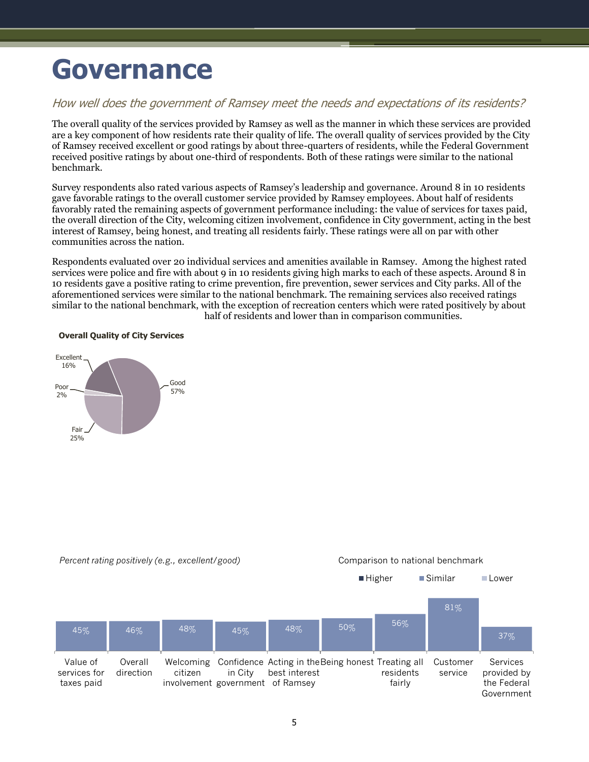# <span id="page-6-0"></span>**Governance**

### How well does the government of Ramsey meet the needs and expectations of its residents?

The overall quality of the services provided by Ramsey as well as the manner in which these services are provided are a key component of how residents rate their quality of life. The overall quality of services provided by the City of Ramsey received excellent or good ratings by about three-quarters of residents, while the Federal Government received positive ratings by about one-third of respondents. Both of these ratings were similar to the national benchmark.

Survey respondents also rated various aspects of Ramsey's leadership and governance. Around 8 in 10 residents gave favorable ratings to the overall customer service provided by Ramsey employees. About half of residents favorably rated the remaining aspects of government performance including: the value of services for taxes paid, the overall direction of the City, welcoming citizen involvement, confidence in City government, acting in the best interest of Ramsey, being honest, and treating all residents fairly. These ratings were all on par with other communities across the nation.

Respondents evaluated over 20 individual services and amenities available in Ramsey. Among the highest rated services were police and fire with about 9 in 10 residents giving high marks to each of these aspects. Around 8 in 10 residents gave a positive rating to crime prevention, fire prevention, sewer services and City parks. All of the aforementioned services were similar to the national benchmark. The remaining services also received ratings similar to the national benchmark, with the exception of recreation centers which were rated positively by about half of residents and lower than in comparison communities.



#### **Overall Quality of City Services**

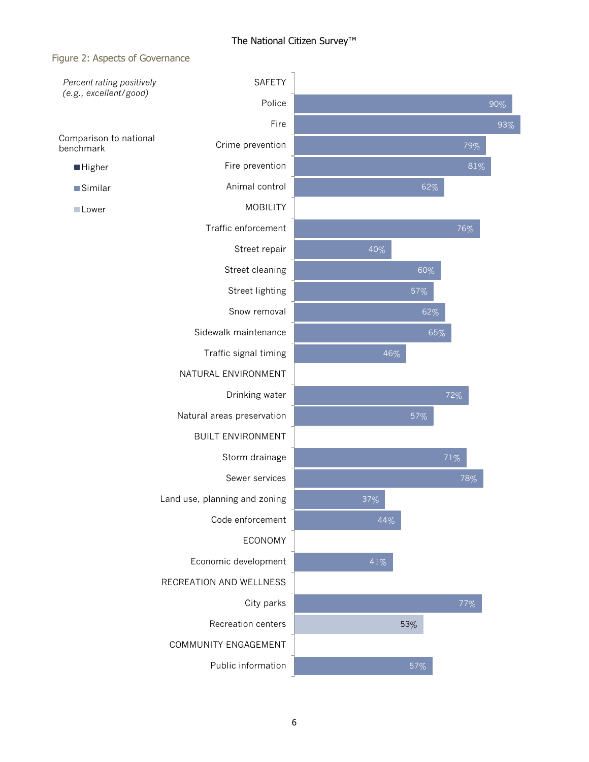#### Figure 2: Aspects of Governance

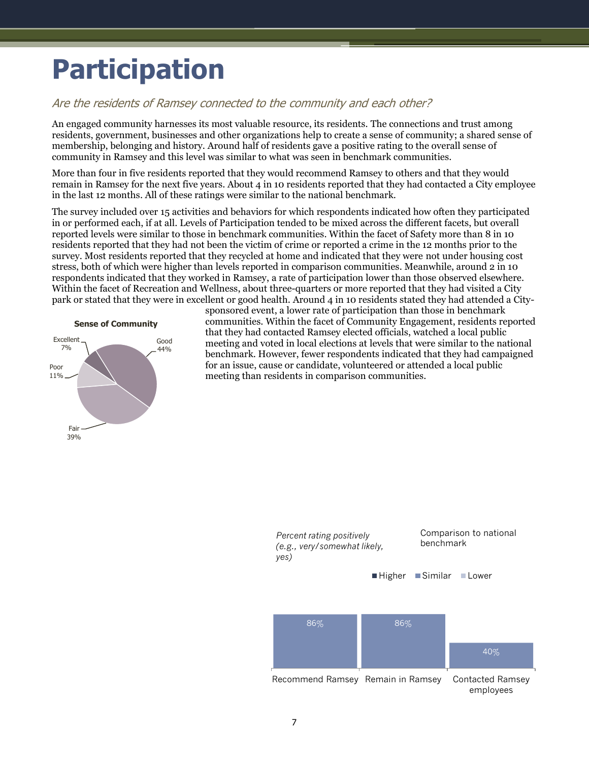# <span id="page-8-0"></span>**Participation**

### Are the residents of Ramsey connected to the community and each other?

An engaged community harnesses its most valuable resource, its residents. The connections and trust among residents, government, businesses and other organizations help to create a sense of community; a shared sense of membership, belonging and history. Around half of residents gave a positive rating to the overall sense of community in Ramsey and this level was similar to what was seen in benchmark communities.

More than four in five residents reported that they would recommend Ramsey to others and that they would remain in Ramsey for the next five years. About 4 in 10 residents reported that they had contacted a City employee in the last 12 months. All of these ratings were similar to the national benchmark.

The survey included over 15 activities and behaviors for which respondents indicated how often they participated in or performed each, if at all. Levels of Participation tended to be mixed across the different facets, but overall reported levels were similar to those in benchmark communities. Within the facet of Safety more than 8 in 10 residents reported that they had not been the victim of crime or reported a crime in the 12 months prior to the survey. Most residents reported that they recycled at home and indicated that they were not under housing cost stress, both of which were higher than levels reported in comparison communities. Meanwhile, around 2 in 10 respondents indicated that they worked in Ramsey, a rate of participation lower than those observed elsewhere. Within the facet of Recreation and Wellness, about three-quarters or more reported that they had visited a City park or stated that they were in excellent or good health. Around 4 in 10 residents stated they had attended a City-



sponsored event, a lower rate of participation than those in benchmark communities. Within the facet of Community Engagement, residents reported that they had contacted Ramsey elected officials, watched a local public meeting and voted in local elections at levels that were similar to the national benchmark. However, fewer respondents indicated that they had campaigned for an issue, cause or candidate, volunteered or attended a local public meeting than residents in comparison communities.

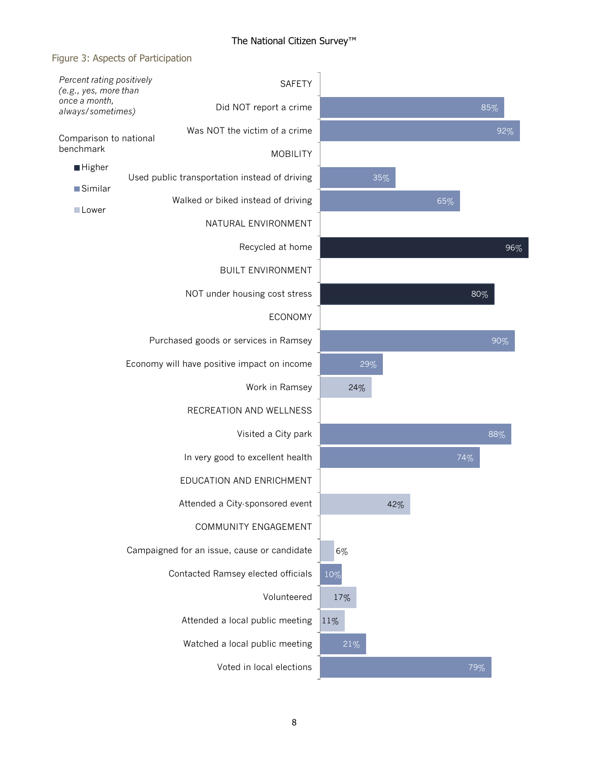### Figure 3: Aspects of Participation

| Percent rating positively<br>(e.g., yes, more than |  |                                               |                                  | <b>SAFETY</b>   |     |     |     |     |     |     |
|----------------------------------------------------|--|-----------------------------------------------|----------------------------------|-----------------|-----|-----|-----|-----|-----|-----|
| once a month,<br>always/sometimes)                 |  |                                               | Did NOT report a crime           |                 |     |     |     |     |     | 85% |
| Comparison to national                             |  |                                               | Was NOT the victim of a crime    |                 |     |     |     |     |     | 92% |
| benchmark                                          |  |                                               |                                  | <b>MOBILITY</b> |     |     |     |     |     |     |
| <b>Higher</b>                                      |  | Used public transportation instead of driving |                                  |                 |     | 35% |     |     |     |     |
| ■Similar<br>Lower                                  |  | Walked or biked instead of driving            |                                  |                 |     |     |     | 65% |     |     |
|                                                    |  |                                               | NATURAL ENVIRONMENT              |                 |     |     |     |     |     |     |
|                                                    |  |                                               | Recycled at home                 |                 |     |     |     |     |     | 96% |
|                                                    |  |                                               | <b>BUILT ENVIRONMENT</b>         |                 |     |     |     |     |     |     |
|                                                    |  |                                               | NOT under housing cost stress    |                 |     |     |     |     | 80% |     |
|                                                    |  |                                               |                                  | <b>ECONOMY</b>  |     |     |     |     |     |     |
|                                                    |  | Purchased goods or services in Ramsey         |                                  |                 |     |     |     |     |     | 90% |
|                                                    |  | Economy will have positive impact on income   |                                  |                 |     | 29% |     |     |     |     |
|                                                    |  |                                               | Work in Ramsey                   |                 |     | 24% |     |     |     |     |
|                                                    |  |                                               | RECREATION AND WELLNESS          |                 |     |     |     |     |     |     |
|                                                    |  |                                               | Visited a City park              |                 |     |     |     |     |     | 88% |
|                                                    |  |                                               | In very good to excellent health |                 |     |     |     |     | 74% |     |
|                                                    |  |                                               | EDUCATION AND ENRICHMENT         |                 |     |     |     |     |     |     |
|                                                    |  |                                               | Attended a City-sponsored event  |                 |     |     | 42% |     |     |     |
|                                                    |  |                                               | COMMUNITY ENGAGEMENT             |                 |     |     |     |     |     |     |
|                                                    |  | Campaigned for an issue, cause or candidate   |                                  |                 | 6%  |     |     |     |     |     |
|                                                    |  | Contacted Ramsey elected officials            |                                  |                 | 10% |     |     |     |     |     |
|                                                    |  |                                               |                                  | Volunteered     | 17% |     |     |     |     |     |
|                                                    |  |                                               | Attended a local public meeting  |                 | 11% |     |     |     |     |     |
|                                                    |  |                                               | Watched a local public meeting   |                 | 21% |     |     |     |     |     |
|                                                    |  |                                               | Voted in local elections         |                 |     |     |     |     | 79% |     |
|                                                    |  |                                               |                                  |                 |     |     |     |     |     |     |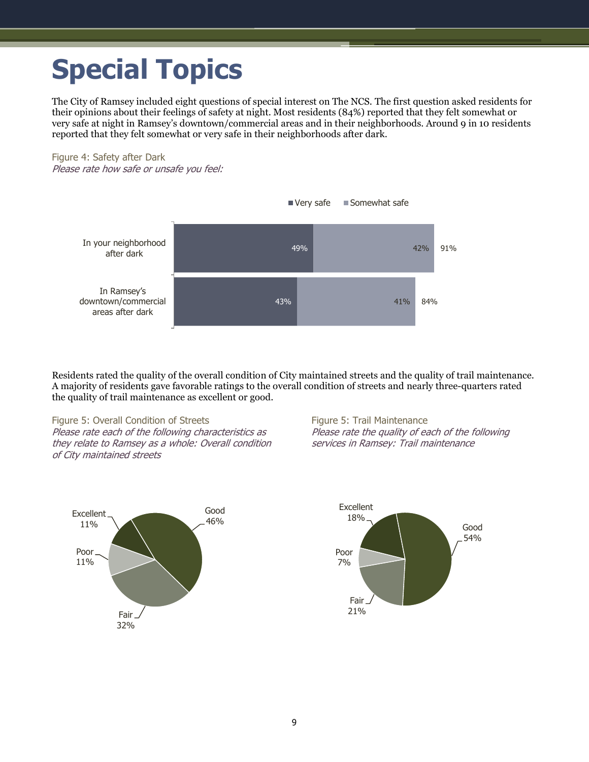# <span id="page-10-0"></span>**Special Topics**

The City of Ramsey included eight questions of special interest on The NCS. The first question asked residents for their opinions about their feelings of safety at night. Most residents (84%) reported that they felt somewhat or very safe at night in Ramsey's downtown/commercial areas and in their neighborhoods. Around 9 in 10 residents reported that they felt somewhat or very safe in their neighborhoods after dark.

Figure 4: Safety after Dark Please rate how safe or unsafe you feel:



Residents rated the quality of the overall condition of City maintained streets and the quality of trail maintenance. A majority of residents gave favorable ratings to the overall condition of streets and nearly three-quarters rated the quality of trail maintenance as excellent or good.

Figure 5: Overall Condition of Streets Please rate each of the following characteristics as they relate to Ramsey as a whole: Overall condition of City maintained streets

Figure 5: Trail Maintenance Please rate the quality of each of the following services in Ramsey: Trail maintenance



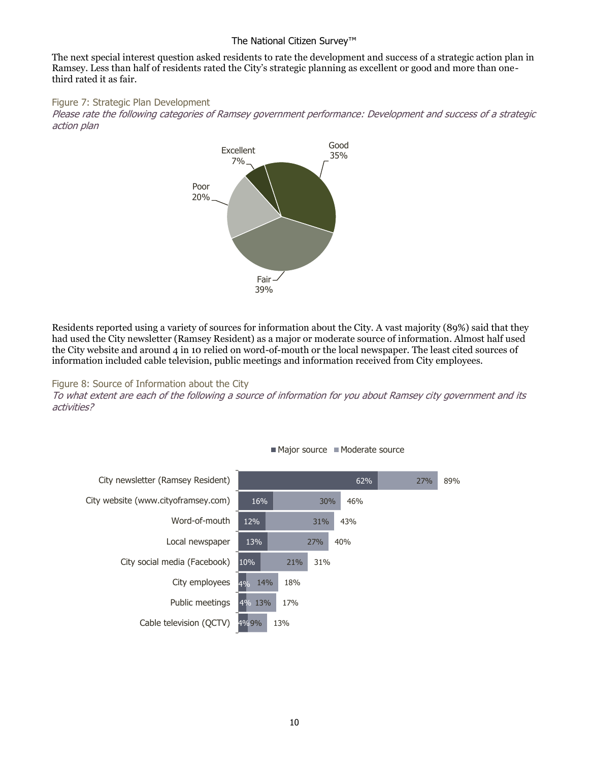#### The National Citizen Survey™

The next special interest question asked residents to rate the development and success of a strategic action plan in Ramsey. Less than half of residents rated the City's strategic planning as excellent or good and more than onethird rated it as fair.

Figure 7: Strategic Plan Development

Please rate the following categories of Ramsey government performance: Development and success of a strategic action plan



Residents reported using a variety of sources for information about the City. A vast majority (89%) said that they had used the City newsletter (Ramsey Resident) as a major or moderate source of information. Almost half used the City website and around 4 in 10 relied on word-of-mouth or the local newspaper. The least cited sources of information included cable television, public meetings and information received from City employees.

Figure 8: Source of Information about the City

To what extent are each of the following a source of information for you about Ramsey city government and its activities?



Major source Moderate source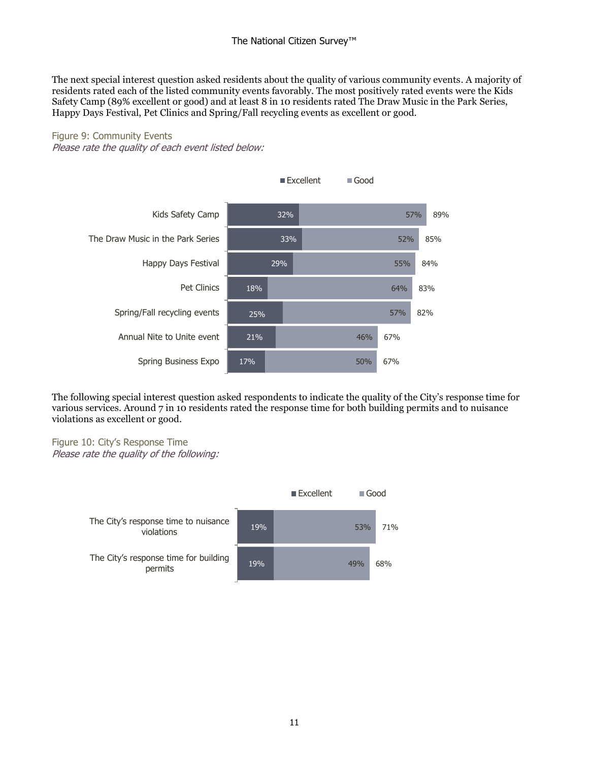The next special interest question asked residents about the quality of various community events. A majority of residents rated each of the listed community events favorably. The most positively rated events were the Kids Safety Camp (89% excellent or good) and at least 8 in 10 residents rated The Draw Music in the Park Series, Happy Days Festival, Pet Clinics and Spring/Fall recycling events as excellent or good.

# Figure 9: Community Events

Please rate the quality of each event listed below:



The following special interest question asked respondents to indicate the quality of the City's response time for various services. Around 7 in 10 residents rated the response time for both building permits and to nuisance violations as excellent or good.

Figure 10: City's Response Time Please rate the quality of the following:

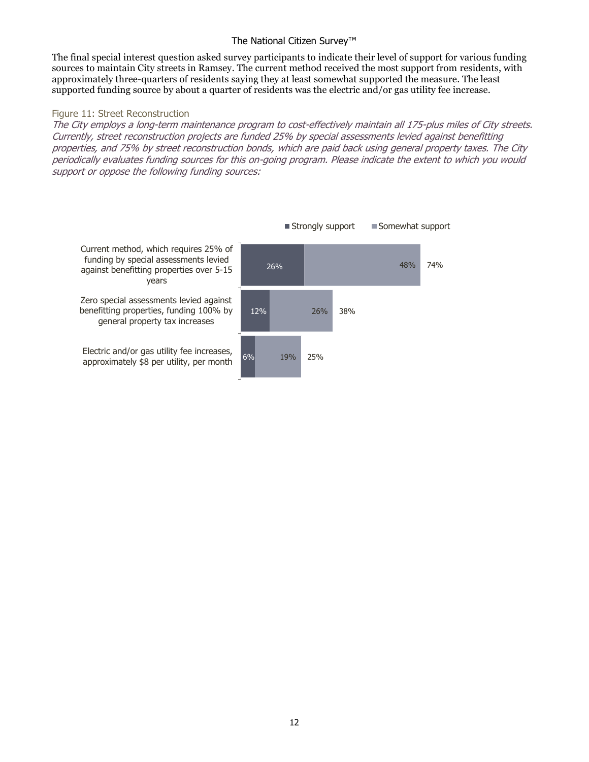#### The National Citizen Survey™

The final special interest question asked survey participants to indicate their level of support for various funding sources to maintain City streets in Ramsey. The current method received the most support from residents, with approximately three-quarters of residents saying they at least somewhat supported the measure. The least supported funding source by about a quarter of residents was the electric and/or gas utility fee increase.

#### Figure 11: Street Reconstruction

The City employs a long-term maintenance program to cost-effectively maintain all 175-plus miles of City streets. Currently, street reconstruction projects are funded 25% by special assessments levied against benefitting properties, and 75% by street reconstruction bonds, which are paid back using general property taxes. The City periodically evaluates funding sources for this on-going program. Please indicate the extent to which you would support or oppose the following funding sources:

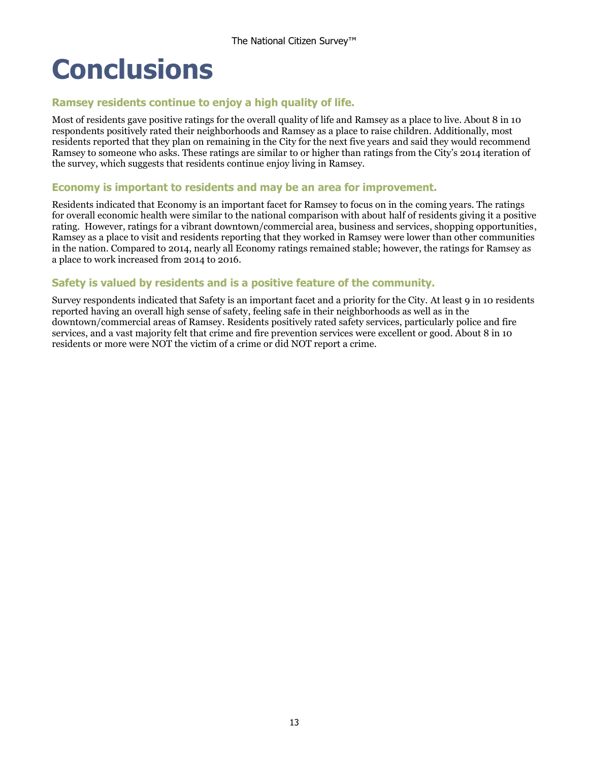# <span id="page-14-0"></span>**Conclusions**

### **Ramsey residents continue to enjoy a high quality of life.**

Most of residents gave positive ratings for the overall quality of life and Ramsey as a place to live. About 8 in 10 respondents positively rated their neighborhoods and Ramsey as a place to raise children. Additionally, most residents reported that they plan on remaining in the City for the next five years and said they would recommend Ramsey to someone who asks. These ratings are similar to or higher than ratings from the City's 2014 iteration of the survey, which suggests that residents continue enjoy living in Ramsey.

#### **Economy is important to residents and may be an area for improvement.**

Residents indicated that Economy is an important facet for Ramsey to focus on in the coming years. The ratings for overall economic health were similar to the national comparison with about half of residents giving it a positive rating. However, ratings for a vibrant downtown/commercial area, business and services, shopping opportunities, Ramsey as a place to visit and residents reporting that they worked in Ramsey were lower than other communities in the nation. Compared to 2014, nearly all Economy ratings remained stable; however, the ratings for Ramsey as a place to work increased from 2014 to 2016.

### **Safety is valued by residents and is a positive feature of the community.**

Survey respondents indicated that Safety is an important facet and a priority for the City. At least 9 in 10 residents reported having an overall high sense of safety, feeling safe in their neighborhoods as well as in the downtown/commercial areas of Ramsey. Residents positively rated safety services, particularly police and fire services, and a vast majority felt that crime and fire prevention services were excellent or good. About 8 in 10 residents or more were NOT the victim of a crime or did NOT report a crime.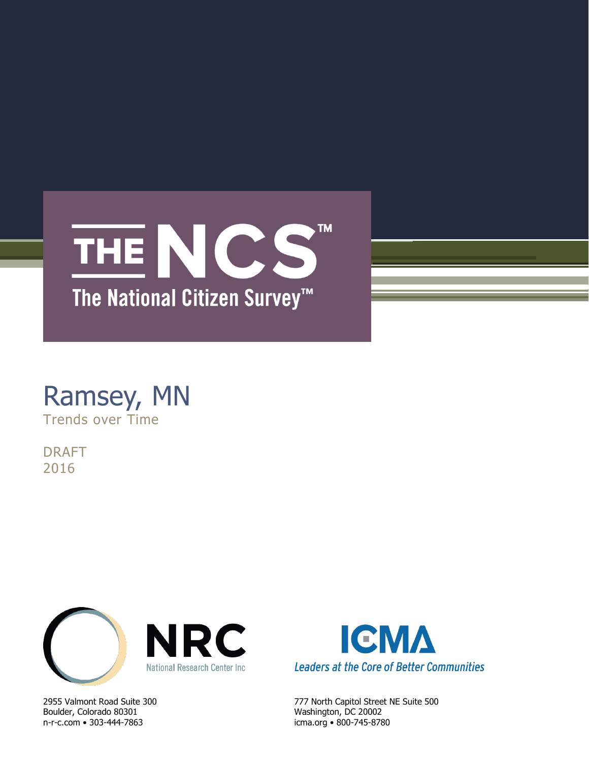

# Ramsey, MN Trends over Time

DRAFT 2016



Boulder, Colorado 80301 Washington, DC 20002 n-r-c.com • 303-444-7863 icma.org • 800-745-8780



2955 Valmont Road Suite 300 777 North Capitol Street NE Suite 500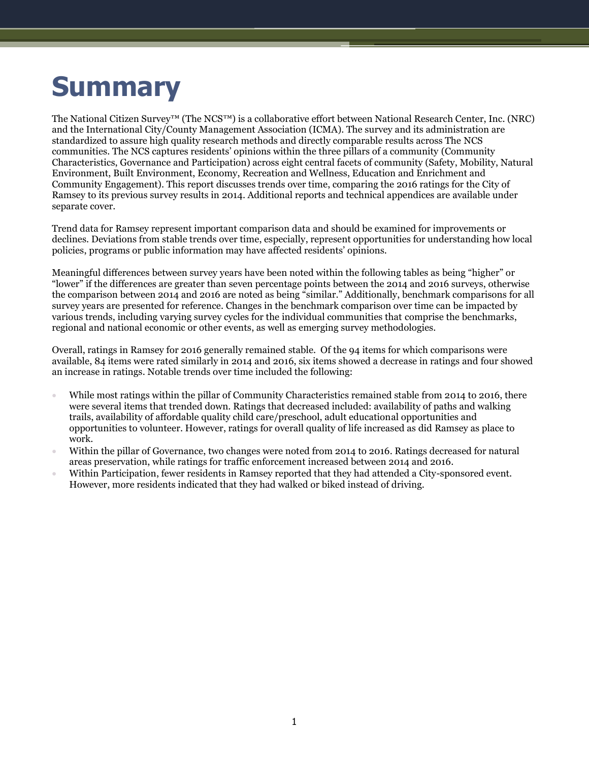# **Summary**

The National Citizen Survey™ (The NCS™) is a collaborative effort between National Research Center, Inc. (NRC) and the International City/County Management Association (ICMA). The survey and its administration are standardized to assure high quality research methods and directly comparable results across The NCS communities. The NCS captures residents' opinions within the three pillars of a community (Community Characteristics, Governance and Participation) across eight central facets of community (Safety, Mobility, Natural Environment, Built Environment, Economy, Recreation and Wellness, Education and Enrichment and Community Engagement). This report discusses trends over time, comparing the 2016 ratings for the City of Ramsey to its previous survey results in 2014. Additional reports and technical appendices are available under separate cover.

Trend data for Ramsey represent important comparison data and should be examined for improvements or declines. Deviations from stable trends over time, especially, represent opportunities for understanding how local policies, programs or public information may have affected residents' opinions.

Meaningful differences between survey years have been noted within the following tables as being "higher" or "lower" if the differences are greater than seven percentage points between the 2014 and 2016 surveys, otherwise the comparison between 2014 and 2016 are noted as being "similar." Additionally, benchmark comparisons for all survey years are presented for reference. Changes in the benchmark comparison over time can be impacted by various trends, including varying survey cycles for the individual communities that comprise the benchmarks, regional and national economic or other events, as well as emerging survey methodologies.

Overall, ratings in Ramsey for 2016 generally remained stable. Of the 94 items for which comparisons were available, 84 items were rated similarly in 2014 and 2016, six items showed a decrease in ratings and four showed an increase in ratings. Notable trends over time included the following:

- While most ratings within the pillar of Community Characteristics remained stable from 2014 to 2016, there were several items that trended down. Ratings that decreased included: availability of paths and walking trails, availability of affordable quality child care/preschool, adult educational opportunities and opportunities to volunteer. However, ratings for overall quality of life increased as did Ramsey as place to work.
- Within the pillar of Governance, two changes were noted from 2014 to 2016. Ratings decreased for natural areas preservation, while ratings for traffic enforcement increased between 2014 and 2016.
- Within Participation, fewer residents in Ramsey reported that they had attended a City-sponsored event. However, more residents indicated that they had walked or biked instead of driving.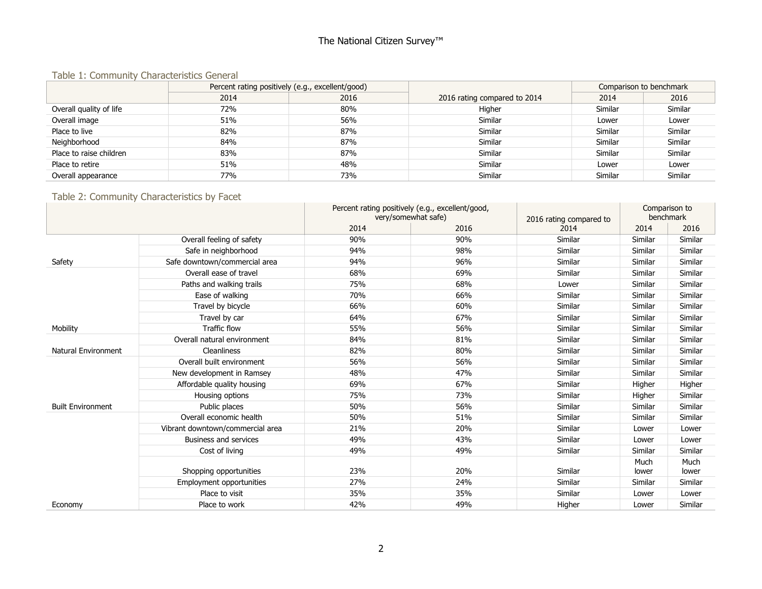# The National Citizen Survey<sup>™</sup>

#### Table 1: Community Characteristics General

|                         | Percent rating positively (e.g., excellent/good) |      |                              | Comparison to benchmark |         |
|-------------------------|--------------------------------------------------|------|------------------------------|-------------------------|---------|
|                         | 2014                                             | 2016 | 2016 rating compared to 2014 | 2014                    | 2016    |
| Overall quality of life | 72%                                              | 80%  | Higher                       | Similar                 | Similar |
| Overall image           | 51%                                              | 56%  | Similar                      | Lower                   | Lower   |
| Place to live           | 82%                                              | 87%  | Similar                      | Similar                 | Similar |
| Neighborhood            | 84%                                              | 87%  | Similar                      | Similar                 | Similar |
| Place to raise children | 83%                                              | 87%  | Similar                      | Similar                 | Similar |
| Place to retire         | 51%                                              | 48%  | Similar                      | Lower                   | Lower   |
| Overall appearance      | 77%                                              | 73%  | Similar                      | Similar                 | Similar |

# Table 2: Community Characteristics by Facet

|                          |                                  |      | Percent rating positively (e.g., excellent/good, |                         | Comparison to |           |
|--------------------------|----------------------------------|------|--------------------------------------------------|-------------------------|---------------|-----------|
|                          |                                  |      | very/somewhat safe)                              | 2016 rating compared to |               | benchmark |
|                          |                                  | 2014 | 2016                                             | 2014                    | 2014          | 2016      |
|                          | Overall feeling of safety        | 90%  | 90%                                              | Similar                 | Similar       | Similar   |
|                          | Safe in neighborhood             | 94%  | 98%                                              | Similar                 | Similar       | Similar   |
| Safety                   | Safe downtown/commercial area    | 94%  | 96%                                              | Similar                 | Similar       | Similar   |
|                          | Overall ease of travel           | 68%  | 69%                                              | Similar                 | Similar       | Similar   |
|                          | Paths and walking trails         | 75%  | 68%                                              | Lower                   | Similar       | Similar   |
|                          | Ease of walking                  | 70%  | 66%                                              | Similar                 | Similar       | Similar   |
|                          | Travel by bicycle                | 66%  | 60%                                              | Similar                 | Similar       | Similar   |
|                          | Travel by car                    | 64%  | 67%                                              | Similar                 | Similar       | Similar   |
| Mobility                 | <b>Traffic flow</b>              | 55%  | 56%                                              | Similar                 | Similar       | Similar   |
|                          | Overall natural environment      | 84%  | 81%                                              | Similar                 | Similar       | Similar   |
| Natural Environment      | <b>Cleanliness</b>               | 82%  | 80%                                              | Similar                 | Similar       | Similar   |
|                          | Overall built environment        | 56%  | 56%                                              | Similar                 | Similar       | Similar   |
|                          | New development in Ramsey        | 48%  | 47%                                              | Similar                 | Similar       | Similar   |
|                          | Affordable quality housing       | 69%  | 67%                                              | Similar                 | Higher        | Higher    |
|                          | Housing options                  | 75%  | 73%                                              | Similar                 | Higher        | Similar   |
| <b>Built Environment</b> | Public places                    | 50%  | 56%                                              | Similar                 | Similar       | Similar   |
|                          | Overall economic health          | 50%  | 51%                                              | Similar                 | Similar       | Similar   |
|                          | Vibrant downtown/commercial area | 21%  | 20%                                              | Similar                 | Lower         | Lower     |
|                          | Business and services            | 49%  | 43%                                              | Similar                 | Lower         | Lower     |
|                          | Cost of living                   | 49%  | 49%                                              | Similar                 | Similar       | Similar   |
|                          |                                  |      |                                                  |                         | Much          | Much      |
|                          | Shopping opportunities           | 23%  | 20%                                              | Similar                 | lower         | lower     |
|                          | Employment opportunities         | 27%  | 24%                                              | Similar                 | Similar       | Similar   |
|                          | Place to visit                   | 35%  | 35%                                              | Similar                 | Lower         | Lower     |
| Economy                  | Place to work                    | 42%  | 49%                                              | Higher                  | Lower         | Similar   |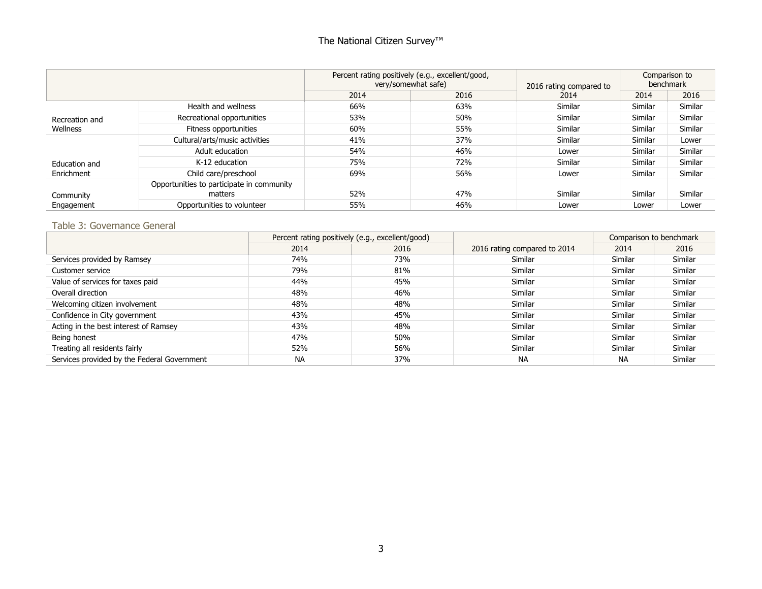# The National Citizen Survey<sup>™</sup>

|                |                                           | Percent rating positively (e.g., excellent/good,<br>very/somewhat safe) | 2016 rating compared to | Comparison to<br>benchmark |         |         |
|----------------|-------------------------------------------|-------------------------------------------------------------------------|-------------------------|----------------------------|---------|---------|
|                |                                           | 2014<br>2016                                                            |                         | 2014                       | 2014    | 2016    |
|                | Health and wellness                       | 66%                                                                     | 63%                     | Similar                    | Similar | Similar |
| Recreation and | Recreational opportunities                | 53%                                                                     | 50%                     | Similar                    | Similar | Similar |
| Wellness       | Fitness opportunities                     | 60%                                                                     | 55%                     | Similar                    | Similar | Similar |
|                | Cultural/arts/music activities            | 41%                                                                     | 37%                     | Similar                    | Similar | Lower   |
|                | Adult education                           | 54%                                                                     | 46%                     | Lower                      | Similar | Similar |
| Education and  | K-12 education                            | 75%                                                                     | 72%                     | Similar                    | Similar | Similar |
| Enrichment     | Child care/preschool                      | 69%                                                                     | 56%                     | Lower                      | Similar | Similar |
|                | Opportunities to participate in community |                                                                         |                         |                            |         |         |
| Community      | matters                                   | 52%                                                                     | 47%                     | Similar                    | Similar | Similar |
| Engagement     | Opportunities to volunteer                | 55%                                                                     | 46%                     | Lower                      | Lower   | Lower   |

### Table 3: Governance General

|                                             | Percent rating positively (e.g., excellent/good) |      |                              | Comparison to benchmark |         |
|---------------------------------------------|--------------------------------------------------|------|------------------------------|-------------------------|---------|
|                                             | 2014                                             | 2016 | 2016 rating compared to 2014 | 2014                    | 2016    |
| Services provided by Ramsey                 | 74%                                              | 73%  | Similar                      | Similar                 | Similar |
| Customer service                            | 79%                                              | 81%  | Similar                      | Similar                 | Similar |
| Value of services for taxes paid            | 44%                                              | 45%  | Similar                      | Similar                 | Similar |
| Overall direction                           | 48%                                              | 46%  | Similar                      | Similar                 | Similar |
| Welcoming citizen involvement               | 48%                                              | 48%  | Similar                      | Similar                 | Similar |
| Confidence in City government               | 43%                                              | 45%  | Similar                      | Similar                 | Similar |
| Acting in the best interest of Ramsey       | 43%                                              | 48%  | Similar                      | Similar                 | Similar |
| Being honest                                | 47%                                              | 50%  | Similar                      | Similar                 | Similar |
| Treating all residents fairly               | 52%                                              | 56%  | Similar                      | Similar                 | Similar |
| Services provided by the Federal Government | <b>NA</b>                                        | 37%  | <b>NA</b>                    | <b>NA</b>               | Similar |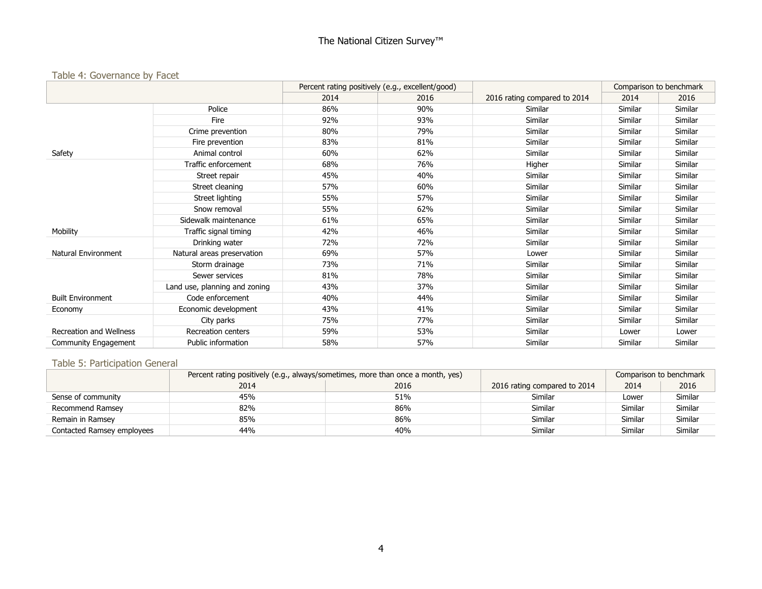### Table 4: Governance by Facet

|                          |                               | Percent rating positively (e.g., excellent/good) |      |                              | Comparison to benchmark |         |
|--------------------------|-------------------------------|--------------------------------------------------|------|------------------------------|-------------------------|---------|
|                          |                               | 2014                                             | 2016 | 2016 rating compared to 2014 | 2014                    | 2016    |
|                          | Police                        | 86%                                              | 90%  | Similar                      | Similar                 | Similar |
|                          | Fire                          | 92%                                              | 93%  | Similar                      | Similar                 | Similar |
|                          | Crime prevention              | 80%                                              | 79%  | Similar                      | Similar                 | Similar |
|                          | Fire prevention               | 83%                                              | 81%  | Similar                      | Similar                 | Similar |
| Safety                   | Animal control                | 60%                                              | 62%  | Similar                      | Similar                 | Similar |
|                          | Traffic enforcement           | 68%                                              | 76%  | Higher                       | Similar                 | Similar |
|                          | Street repair                 | 45%                                              | 40%  | Similar                      | Similar                 | Similar |
|                          | Street cleaning               | 57%                                              | 60%  | Similar                      | Similar                 | Similar |
|                          | Street lighting               | 55%                                              | 57%  | Similar                      | Similar                 | Similar |
|                          | Snow removal                  | 55%                                              | 62%  | Similar                      | Similar                 | Similar |
|                          | Sidewalk maintenance          | 61%                                              | 65%  | Similar                      | Similar                 | Similar |
| Mobility                 | Traffic signal timing         | 42%                                              | 46%  | Similar                      | Similar                 | Similar |
|                          | Drinking water                | 72%                                              | 72%  | Similar                      | Similar                 | Similar |
| Natural Environment      | Natural areas preservation    | 69%                                              | 57%  | Lower                        | Similar                 | Similar |
|                          | Storm drainage                | 73%                                              | 71%  | Similar                      | Similar                 | Similar |
|                          | Sewer services                | 81%                                              | 78%  | Similar                      | Similar                 | Similar |
|                          | Land use, planning and zoning | 43%                                              | 37%  | Similar                      | Similar                 | Similar |
| <b>Built Environment</b> | Code enforcement              | 40%                                              | 44%  | Similar                      | Similar                 | Similar |
| Economy                  | Economic development          | 43%                                              | 41%  | Similar                      | Similar                 | Similar |
|                          | City parks                    | 75%                                              | 77%  | Similar                      | Similar                 | Similar |
| Recreation and Wellness  | Recreation centers            | 59%                                              | 53%  | Similar                      | Lower                   | Lower   |
| Community Engagement     | Public information            | 58%                                              | 57%  | Similar                      | Similar                 | Similar |

### Table 5: Participation General

|                            | Percent rating positively (e.g., always/sometimes, more than once a month, yes) |      |                              | Comparison to benchmark |         |
|----------------------------|---------------------------------------------------------------------------------|------|------------------------------|-------------------------|---------|
|                            | 2014                                                                            | 2016 | 2016 rating compared to 2014 | 2014                    | 2016    |
| Sense of community         | 45%                                                                             | 51%  | Similar                      | Lower                   | Similar |
| Recommend Ramsey           | 82%                                                                             | 86%  | Similar                      | Similar                 | Similar |
| Remain in Ramsey           | 85%                                                                             | 86%  | Similar                      | Similar                 | Similar |
| Contacted Ramsey employees | 44%                                                                             | 40%  | Similar                      | <b>Similar</b>          | Similar |